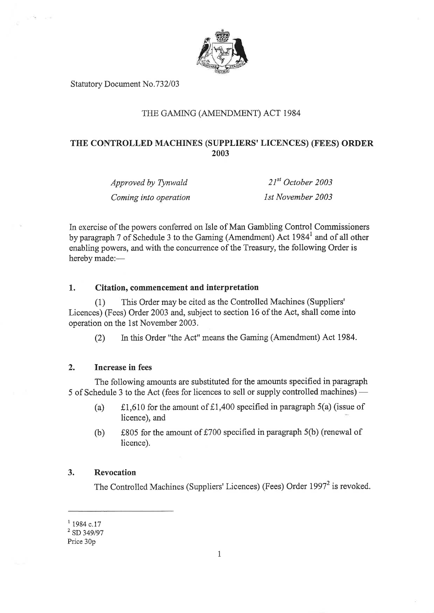

Statutory Document No.732/03

## THE GAMTNG (AMENDMENT) ACT 1984

# THE CONTROLLED MACHINES (SUPPLIERS' LICENCES) (FEES) ORDER 2003

Approved by Tynwald Coming into operation

 $21^{st}$  October 2003 lst November 2003

In exercise of the powers conferred on Isle of Man Gambling Control Commissroners by paragraph 7 of Schedule 3 to the Gaming (Amendment) Act 1984<sup>1</sup> and of all other enabling powers, and with the concurrence of the Treasury, the following Order is hereby made:-

#### 1. Citation, commencement and interpretation

(1) This Order may be cited as the Controlled Machines (Suppliers' Licences) (Fees) Order 2003 and, subject to section 16 of the Act, shall come into operation on the lst November 2003.

(2) In this Order "the Act" means the Gaming (Amendment) Act 1984.

## 2. Increase in fees

The following amounts are substituted for the amounts specified in paragraph 5 of Schedule 3 to the Act (fees for licences to sell or supply controlled machines) –

- (a)  $f, f, f$ l,610 for the amount of  $f, 1,400$  specified in paragraph 5(a) (issue of licence), and
- (b)  $f805$  for the amount of  $f700$  specified in paragraph 5(b) (renewal of licence).

#### 3. Revocation

The Controlled Machines (Suppliers' Licences) (Fees) Order 1997<sup>2</sup> is revoked.

 $1$  1984 c.17

 $2$  SD 349/97

Price 30p